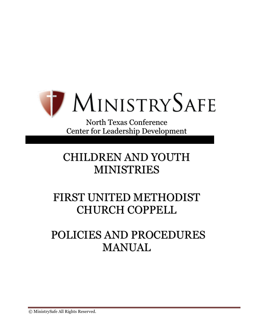

North Texas Conference Center for Leadership Development

# CHILDREN AND YOUTH MINISTRIES

# FIRST UNITED METHODIST CHURCH COPPELL

# POLICIES AND PROCEDURES MANUAL

© MinistrySafe All Rights Reserved.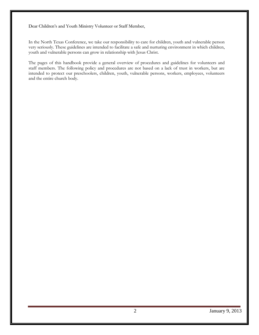Dear Children's and Youth Ministry Volunteer or Staff Member,

In the North Texas Conference, we take our responsibility to care for children, youth and vulnerable person very seriously. These guidelines are intended to facilitate a safe and nurturing environment in which children, youth and vulnerable persons can grow in relationship with Jesus Christ.

The pages of this handbook provide a general overview of procedures and guidelines for volunteers and staff members. The following policy and procedures are not based on a lack of trust in workers, but are intended to protect our preschoolers, children, youth, vulnerable persons, workers, employees, volunteers and the entire church body.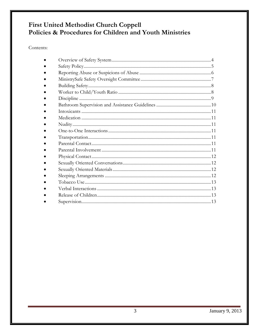# First United Methodist Church Coppell<br>Policies & Procedures for Children and Youth Ministries

Contents: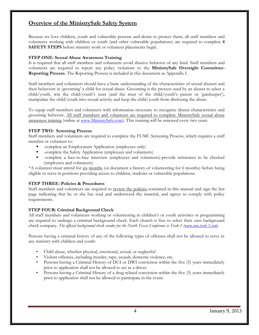## **Overview of the MinistrySafe Safety System**

Because we love children, youth and vulnerable persons and desire to protect them, all staff members and volunteers working with children or youth (and other vulnerable populations) are required to complete **4 SAFETY STEPS** before ministry work or volunteer placements begin.

#### **STEP ONE: Sexual Abuse Awareness Training**

It is required that all staff members and volunteers avoid abusive behavior of any kind. Staff members and volunteers are required to report any policy violations to the **MinistrySafe Oversight Committee-Reporting Process**. The Reporting Process is included in this document as Appendix I.

Staff members and volunteers should have a basic understanding of the characteristics of sexual abusers and their behaviors in 'grooming' a child for sexual abuse. Grooming is the process used by an abuser to select a child/youth, win the child/youth's trust (and the trust of the child/youth's parent or 'gatekeeper'), manipulate the child/youth into sexual activity and keep the child/youth from disclosing the abuse.

To equip staff members and volunteers with information necessary to recognize abuser characteristics and grooming behavior, All staff members and volunteers are required to complete MinistrySafe sexual abuse awareness training (online at [www.MinistrySafe.com\)](http://www.ministrysafe.com/). This training will be renewed every two years.

#### **STEP TWO: Screening Process**

Staff members and volunteers are required to complete the FUMC Screening Process, which requires a staff member or volunteer to:

- -complete an Employment Application (employees only)
- -complete the Safety Application (employees and volunteers)
- -complete a face-to-face interview (employees and volunteers)-provide references to be checked (employees and volunteers)

\*A volunteer must attend for six months (or document a history of volunteering for 6 months) before being eligible to serve in positions providing access to children, students or vulnerable populations.

#### **STEP THREE: Policies & Procedures**

Staff members and volunteers are required to review the policies contained in this manual and sign the last page indicating that he or she has read and understood the material, and agrees to comply with policy requirements.

#### **STEP FOUR: Criminal Background Check**

All staff members and volunteers working or volunteering in children's or youth activities or programming are required to undergo a criminal background check. Each church is free to select their own background check company. *The official background check vendor for the North Texas Conference is Trak-1 [\(www.new.trak-1.com](http://www.new.trak-1.com/)*)

Persons having a criminal history of any of the following types of offenses shall not be allowed to serve in any ministry with children and youth:

- Child abuse, whether physical, emotional, sexual, or neglectful
- Violent offenses, including murder, rape, assault, domestic violence, etc.
- Persons having a Criminal History of DUI or DWI conviction within the five (5) years immediately prior to application shall not be allowed to act as a driver.
- Persons having a Criminal History of a drug related conviction within the five (5) years immediately prior to application shall not be allowed to participate in the event.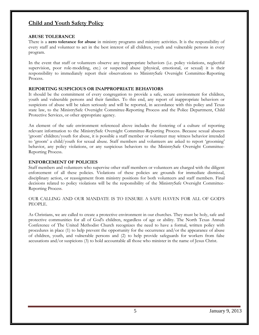### **Child and Youth Safety Policy**

#### **ABUSE TOLERANCE**

There is a **zero tolerance for abuse** in ministry programs and ministry activities. It is the responsibility of every staff and volunteer to act in the best interest of all children, youth and vulnerable persons in every program.

In the event that staff or volunteers observe any inappropriate behaviors (i.e. policy violations, neglectful supervision, poor role-modeling, etc.) or suspected abuse (physical, emotional, or sexual) it is their responsibility to immediately report their observations to MinistrySafe Oversight Committee-Reporting Process.

#### **REPORTING SUSPICIOUS OR INAPPROPRIATE BEHAVIORS**

It should be the commitment of every congregation to provide a safe, secure environment for children, youth and vulnerable persons and their families. To this end, any report of inappropriate behaviors or suspicions of abuse will be taken seriously and will be reported, in accordance with this policy and Texas state law, to the MinistrySafe Oversight Committee-Reporting Process and the Police Department, Child Protective Services, or other appropriate agency.

An element of the safe environment referenced above includes the fostering of a culture of reporting relevant information to the MinistrySafe Oversight Committee-Reporting Process. Because sexual abusers 'groom' children/youth for abuse, it is possible a staff member or volunteer may witness behavior intended to 'groom' a child/youth for sexual abuse. Staff members and volunteers are asked to report 'grooming' behavior, any policy violations, or any suspicious behaviors to the MinistrySafe Oversight Committee-Reporting Process.

#### **ENFORCEMENT OF POLICIES**

Staff members and volunteers who supervise other staff members or volunteers are charged with the diligent enforcement of all these policies. Violations of these policies are grounds for immediate dismissal, disciplinary action, or reassignment from ministry positions for both volunteers and staff members. Final decisions related to policy violations will be the responsibility of the MinistrySafe Oversight Committee-Reporting Process.

#### OUR CALLING AND OUR MANDATE IS TO ENSURE A SAFE HAVEN FOR ALL OF GOD'S PEOPLE.

As Christians, we are called to create a protective environment in our churches. They must be holy, safe and protective communities for all of God's children, regardless of age or ability. The North Texas Annual Conference of The United Methodist Church recognizes the need to have a formal, written policy with procedures in place (1) to help prevent the opportunity for the occurrence and/or the appearance of abuse of children, youth, and vulnerable persons and (2) to help provide safeguards for workers from false accusations and/or suspicions (3) to hold accountable all those who minister in the name of Jesus Christ.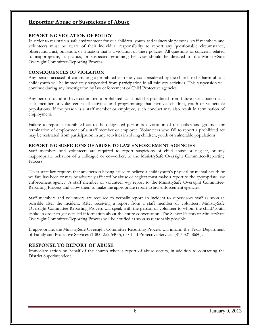## **Reporting Abuse or Suspicions of Abuse**

#### **REPORTING VIOLATION OF POLICY**

In order to maintain a safe environment for our children, youth and vulnerable persons, staff members and volunteers must be aware of their individual responsibility to report any questionable circumstance, observation, act, omission, or situation that is a violation of these policies. All questions or concerns related to inappropriate, suspicious, or suspected grooming behavior should be directed to the MinistrySafe Oversight Committee-Reporting Process.

#### **CONSEQUENCES OF VIOLATION**

Any person accused of committing a prohibited act or any act considered by the church to be harmful to a child/youth will be immediately suspended from participation in all ministry activities. This suspension will continue during any investigation by law enforcement or Child Protective agencies.

Any person found to have committed a prohibited act should be prohibited from future participation as a staff member or volunteer in all activities and programming that involves children, youth or vulnerable populations. If the person is a staff member or employee, such conduct may also result in termination of employment.

Failure to report a prohibited act to the designated person is a violation of this policy and grounds for termination of employment of a staff member or employee. Volunteers who fail to report a prohibited act may be restricted from participation in any activities involving children, youth or vulnerable populations.

#### **REPORTING SUSPICIONS OF ABUSE TO LAW ENFORCEMENT AGENCIES**

Staff members and volunteers are required to report suspicions of child abuse or neglect, or any inappropriate behavior of a colleague or co-worker, to the MinistrySafe Oversight Committee-Reporting Process.

Texas state law requires that any person having cause to believe a child/youth's physical or mental health or welfare has been or may be adversely affected by abuse or neglect must make a report to the appropriate law enforcement agency. A staff member or volunteer *may* report to the MinistrySafe Oversight Committee-Reporting Process and allow them to make the appropriate report to law enforcement agencies.

Staff members and volunteers are required to verbally report an incident to supervisory staff as soon as possible after the incident. After receiving a report from a staff member or volunteer, MinistrySafe Oversight Committee-Reporting Process will speak with the person or volunteer to whom the child/youth spoke in order to get detailed information about the entire conversation. The Senior Pastor/or MinistrySafe Oversight Committee-Reporting Process will be notified as soon as reasonably possible.

If appropriate, the MinistrySafe Oversight Committee-Reporting Process will inform the Texas Department of Family and Protective Services (1-800-252-5400), or Child Protective Services (817-321-8680).

#### **RESPONSE TO REPORT OF ABUSE**

Immediate action on behalf of the church when a report of abuse occurs, in addition to contacting the District Superintendent.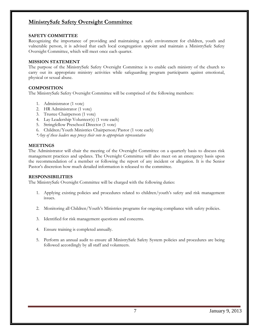## **MinistrySafe Safety Oversight Committee**

#### **SAFETY COMMITTEE**

Recognizing the importance of providing and maintaining a safe environment for children, youth and vulnerable person, it is advised that each local congregation appoint and maintain a MinistrySafe Safety Oversight Committee, which will meet once each quarter.

#### **MISSION STATEMENT**

The purpose of the MinistrySafe Safety Oversight Committee is to enable each ministry of the church to carry out its appropriate ministry activities while safeguarding program participants against emotional, physical or sexual abuse.

#### **COMPOSITION**

The MinistrySafe Safety Oversight Committee will be comprised of the following members:

- 1. Administrator (1 vote)
- 2. HR Administrator (1 vote)
- 3. Trustee Chairperson (1 vote)
- 4. Lay Leadership Volunteer(s) (1 vote each)
- 5. Stringfellow Preschool Director (1 vote)
- 6. Children/Youth Ministries Chairperson/Pastor (1 vote each)

*\*Any of these leaders may proxy their vote to appropriate representative*

#### **MEETINGS**

The Administrator will chair the meeting of the Oversight Committee on a quarterly basis to discuss risk management practices and updates. The Oversight Committee will also meet on an emergency basis upon the recommendation of a member or following the report of any incident or allegation. It is the Senior Pastor's discretion how much detailed information is released to the committee.

#### **RESPONSIBILITIES**

The MinistrySafe Oversight Committee will be charged with the following duties:

- 1. Applying existing policies and procedures related to children/youth's safety and risk management issues.
- 2. Monitoring all Children/Youth's Ministries programs for ongoing compliance with safety policies.
- 3. Identified for risk management questions and concerns.
- 4. Ensure training is completed annually.
- 5. Perform an annual audit to ensure all MinistrySafe Safety System policies and procedures are being followed accordingly by all staff and volunteers.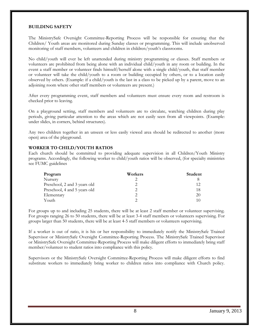#### **BUILDING SAFETY**

The MinistrySafe Oversight Committee-Reporting Process will be responsible for ensuring that the Children/ Youth areas are monitored during Sunday classes or programming. This will include unobserved monitoring of staff members, volunteers and children in children/youth's classrooms.

No child/youth will ever be left unattended during ministry programming or classes. Staff members or volunteers are prohibited from being alone with an individual child/youth in any room or building. In the event a staff member or volunteer finds himself/herself alone with a single child/youth, that staff member or volunteer will take the child/youth to a room or building occupied by others, or to a location easily observed by others. (Example: if a child/youth is the last in a class to be picked up by a parent, move to an adjoining room where other staff members or volunteers are present.)

After every programming event, staff members and volunteers must ensure every room and restroom is checked prior to leaving.

On a playground setting, staff members and volunteers are to circulate, watching children during play periods, giving particular attention to the areas which are not easily seen from all viewpoints. (Example: under slides, in corners, behind structures).

Any two children together in an unseen or less easily viewed area should be redirected to another (more open) area of the playground.

#### **WORKER TO CHILD/YOUTH RATIOS**

Each church should be committed to providing adequate supervision in all Children/Youth Ministry programs. Accordingly, the following worker to child/youth ratios will be observed, (for specialty ministries see FUMC guidelines

| Program                      | Workers | Student |
|------------------------------|---------|---------|
| Nursery                      |         |         |
| Preschool, 2 and 3 years old |         | 12      |
| Preschool, 4 and 5 years old |         | 18      |
| Elementary                   |         | 20      |
| Youth                        |         | 10      |

For groups up to and including 25 students, there will be at least 2 staff member or volunteer supervising. For groups ranging 26 to 50 students, there will be at least 3-4 staff members or volunteers supervising. For groups larger than 50 students, there will be at least 4-5 staff members or volunteers supervising.

If a worker is out of ratio, it is his or her responsibility to immediately notify the MinistrySafe Trained Supervisor or MinistrySafe Oversight Committee-Reporting Process. The MinistrySafe Trained Supervisor or MinistrySafe Oversight Committee-Reporting Process will make diligent efforts to immediately bring staff member/volunteer to student ratios into compliance with this policy.

Supervisors or the MinistrySafe Oversight Committee-Reporting Process will make diligent efforts to find substitute workers to immediately bring worker to children ratios into compliance with Church policy.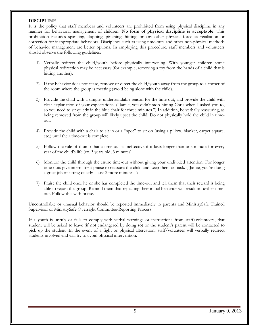#### **DISCIPLINE**

It is the policy that staff members and volunteers are prohibited from using physical discipline in any manner for behavioral management of children. **No form of physical discipline is acceptable.** This prohibition includes spanking, slapping, pinching, hitting, or any other physical force as retaliation or correction for inappropriate behaviors. Disciplines such as using time-outs and other non-physical methods of behavior management are better options. In employing this procedure, staff members and volunteers should observe the following guidelines:

- 1) Verbally redirect the child/youth before physically intervening. With younger children some physical redirection may be necessary (for example, removing a toy from the hands of a child that is hitting another).
- 2) If the behavior does not cease, remove or direct the child/youth away from the group to a corner of the room where the group is meeting (avoid being alone with the child).
- 3) Provide the child with a simple, understandable reason for the time-out, and provide the child with clear explanation of your expectations. ("Jamie, you didn't stop hitting Chris when I asked you to, so you need to sit quietly in the blue chair for three minutes.") In addition, be verbally reassuring, as being removed from the group will likely upset the child. Do not physically hold the child in timeout.
- 4) Provide the child with a chair to sit in or a "spot" to sit on (using a pillow, blanket, carpet square, etc.) until their time-out is complete.
- 5) Follow the rule of thumb that a time-out is ineffective if it lasts longer than one minute for every year of the child's life (ex. 3 years old, 3 minutes).
- 6) Monitor the child through the entire time-out without giving your undivided attention. For longer time-outs give intermittent praise to reassure the child and keep them on task. ("Jamie, you're doing a great job of sitting quietly – just 2 more minutes.")
- 7) Praise the child once he or she has completed the time-out and tell them that their reward is being able to rejoin the group. Remind them that repeating their initial behavior will result in further timeout. Follow this with praise.

Uncontrollable or unusual behavior should be reported immediately to parents and MinistrySafe Trained Supervisor or MinistrySafe Oversight Committee-Reporting Process.

If a youth is unruly or fails to comply with verbal warnings or instructions from staff/volunteers, that student will be asked to leave (if not endangered by doing so) or the student's parent will be contacted to pick up the student. In the event of a fight or physical altercation, staff/volunteer will verbally redirect students involved and will try to avoid physical intervention.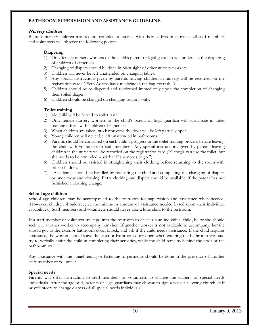#### **BATHROOM SUPERVISION AND ASSISTANCE GUIDELINE**

#### **Nursery children**

Because nursery children may require complete assistance with their bathroom activities, all staff members and volunteers will observe the following policies:

#### **Diapering**

- 1) Only female nursery workers or the child's parent or legal guardian will undertake the diapering of children of either sex.
- 2) Changing of diapers should be done in plain sight of other nursery workers.
- 3) Children will never be left unattended on changing tables.
- 4) Any special instructions given by parents leaving children in nursery will be recorded on the registration cards ("Seth Adams has a medicine in the bag for rash.")
- 5) Children should be re-diapered and re-clothed immediately upon the completion of changing their soiled diaper.
- 6) Children should be changed on changing stations only.

#### **Toilet training**

- 1) No child will be forced to toilet train.
- 2) Only female nursery workers or the child's parent or legal guardian will participate in toilet training efforts with children of either sex.
- 3) When children are taken into bathrooms the door will be left partially open.
- 4) Young children will never be left unattended in bathrooms.
- 5) Parents should be consulted on each child's progress in the toilet training process before leaving the child with volunteers or staff members. Any special instructions given by parents leaving children in the nursery will be recorded on the registration card ("Georgia can use the toilet, but she needs to be reminded – ask her if she needs to go.").
- 6) Children should be assisted in straightening their clothing before returning to the room with other children.
- 7) "Accidents" should be handled by reassuring the child and completing the changing of diapers or underwear and clothing. Extra clothing and diapers should be available, if the parent has not furnished a clothing change.

#### **School age children**

School age children may be accompanied to the restroom for supervision and assistance when needed. (However, children should receive the minimum amount of assistance needed based upon their individual capabilities.) Staff members and volunteers should never take a lone child to the restroom.

If a staff member or volunteer must go into the restroom to check on an individual child, he or she should seek out another worker to accompany him/her. If another worker is not available to accompany, he/she should got to the exterior bathroom door, knock, and ask if the child needs assistance. If the child requires assistance, the worker should leave the exterior bathroom door open when entering the bathroom area and try to verbally assist the child in completing their activities, while the child remains behind the door of the bathroom stall.

Any assistance with the straightening or fastening of garments should be done in the presence of another staff member or volunteer.

#### **Special needs**

Parents will offer instruction to staff members or volunteers to change the diapers of special needs individuals. After the age of 4, parents or legal guardians may choose to sign a waiver allowing church staff or volunteers to change diapers of all special needs individuals.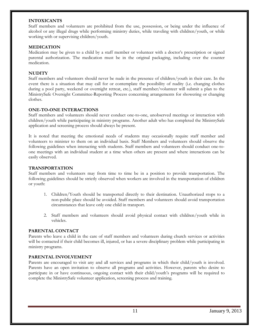#### **INTOXICANTS**

Staff members and volunteers are prohibited from the use, possession, or being under the influence of alcohol or any illegal drugs while performing ministry duties, while traveling with children/youth, or while working with or supervising children/youth.

#### **MEDICATION**

Medication may be given to a child by a staff member or volunteer with a doctor's prescription or signed parental authorization. The medication must be in the original packaging, including over the counter medication.

#### **NUDITY**

Staff members and volunteers should never be nude in the presence of children/youth in their care. In the event there is a situation that may call for or contemplate the possibility of nudity (i.e. changing clothes during a pool party, weekend or overnight retreat, etc.), staff member/volunteer will submit a plan to the MinistrySafe Oversight Committee-Reporting Process concerning arrangements for showering or changing clothes.

#### **ONE-TO-ONE INTERACTIONS**

Staff members and volunteers should never conduct one-to-one, unobserved meetings or interaction with children/youth while participating in ministry programs. Another adult who has completed the MinistrySafe application and screening process should always be present.

It is noted that meeting the emotional needs of students may occasionally require staff member and volunteers to minister to them on an individual basis. Staff Members and volunteers should observe the following guidelines when interacting with students. Staff members and volunteers should conduct one-toone meetings with an individual student at a time when others are present and where interactions can be easily observed.

#### **TRANSPORTATION**

Staff members and volunteers may from time to time be in a position to provide transportation. The following guidelines should be strictly observed when workers are involved in the transportation of children or youth:

- 1. Children/Youth should be transported directly to their destination. Unauthorized stops to a non-public place should be avoided. Staff members and volunteers should avoid transportation circumstances that leave only one child in transport.
- 2. Staff members and volunteers should avoid physical contact with children/youth while in vehicles.

#### **PARENTAL CONTACT**

Parents who leave a child in the care of staff members and volunteers during church services or activities will be contacted if their child becomes ill, injured, or has a severe disciplinary problem while participating in ministry programs.

#### **PARENTAL INVOLVEMENT**

Parents are encouraged to visit any and all services and programs in which their child/youth is involved. Parents have an open invitation to observe all programs and activities. However, parents who desire to participate in or have continuous, ongoing contact with their child/youth's programs will be required to complete the MinistrySafe volunteer application, screening process and training.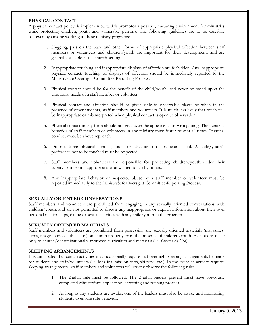#### **PHYSICAL CONTACT**

A physical contact policy' is implemented which promotes a positive, nurturing environment for ministries while protecting children, youth and vulnerable persons. The following guidelines are to be carefully followed by anyone working in these ministry programs:

- 1. Hugging, pats on the back and other forms of appropriate physical affection between staff members or volunteers and children/youth are important for their development, and are generally suitable in the church setting.
- 2. Inappropriate touching and inappropriate displays of affection are forbidden. Any inappropriate physical contact, touching or displays of affection should be immediately reported to the MinistrySafe Oversight Committee-Reporting Process.
- 3. Physical contact should be for the benefit of the child/youth, and never be based upon the emotional needs of a staff member or volunteer.
- 4. Physical contact and affection should be given only in observable places or when in the presence of other students, staff members and volunteers. It is much less likely that touch will be inappropriate or misinterpreted when physical contact is open to observation.
- 5. Physical contact in any form should not give even the appearance of wrongdoing. The personal behavior of staff members or volunteers in any ministry must foster trust at all times. Personal conduct must be above reproach.
- 6. Do not force physical contact, touch or affection on a reluctant child. A child/youth's preference not to be touched must be respected.
- 7. Staff members and volunteers are responsible for protecting children/youth under their supervision from inappropriate or unwanted touch by others.
- 8. Any inappropriate behavior or suspected abuse by a staff member or volunteer must be reported immediately to the MinistrySafe Oversight Committee-Reporting Process.

#### **SEXUALLY ORIENTED CONVERSATIONS**

Staff members and volunteers are prohibited from engaging in any sexually oriented conversations with children/youth, and are not permitted to discuss any inappropriate or explicit information about their own personal relationships, dating or sexual activities with any child/youth in the program.

#### **SEXUALLY ORIENTED MATERIALS**

Staff members and volunteers are prohibited from possessing any sexually oriented materials (magazines, cards, images, videos, films, etc.) on church property or in the presence of children/youth. Exceptions relate only to church/denominationally approved curriculum and materials (i.e. *Created By God*).

#### **SLEEPING ARRANGEMENTS**

It is anticipated that certain activities may occasionally require that overnight sleeping arrangements be made for students and staff/volunteers (i.e. lock-ins, mission trips, ski trips, etc.). In the event an activity requires sleeping arrangements, staff members and volunteers will strictly observe the following rules:

- 1. The 2-adult rule must be followed. The 2 adult leaders present must have previously completed MinistrySafe application, screening and training process.
- 2. As long as any students are awake, one of the leaders must also be awake and monitoring students to ensure safe behavior.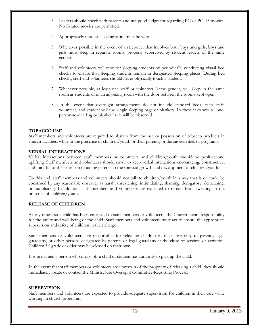- 3. Leaders should check with parents and use good judgment regarding PG or PG-13 movies. No R-rated movies are permitted.
- 4. Appropriately modest sleeping attire must be worn.
- 5. Whenever possible in the event of a sleepover that involves both boys and girls, boys and girls must sleep in separate rooms, properly supervised by student leaders of the same gender.
- 6. Staff and volunteers will monitor sleeping students by periodically conducting visual bed checks to ensure that sleeping students remain in designated sleeping places. During bed checks, staff and volunteers should never physically touch a student.
- 7. Whenever possible, at least one staff or volunteer (same gender) will sleep in the same room as students or in an adjoining room with the door between the rooms kept open.
- 8. In the event that overnight arrangements do not include standard beds, each staff, volunteer, and student will use single sleeping bags or blankets. In these instances a "oneperson-to-one bag or blanket" rule will be observed.

#### **TOBACCO USE**

Staff members and volunteers are required to abstain from the use or possession of tobacco products in church facilities, while in the presence of children/youth or their parents, or during activities or programs.

#### **VERBAL INTERACTIONS**

Verbal interactions between staff members or volunteers and children/youth should be positive and uplifting. Staff members and volunteers should strive to keep verbal interactions encouraging, constructive, and mindful of their mission of aiding parents in the spiritual growth and development of children/youth.

To this end, staff members and volunteers should not talk to children/youth in a way that is or could be construed by any reasonable observer as harsh, threatening, intimidating, shaming, derogatory, demeaning, or humiliating. In addition, staff members and volunteers are expected to refrain from swearing in the presence of children/youth.

#### **RELEASE OF CHILDREN**

At any time that a child has been entrusted to staff members or volunteers, the Church incurs responsibility for the safety and well-being of the child. Staff members and volunteers must act to ensure the appropriate supervision and safety of children in their charge.

Staff members or volunteers are responsible for releasing children in their care only to parents, legal guardians, or other persons designated by parents or legal guardians at the close of services or activities. Children 3rd grade or older may be released on their own.

It is presumed a person who drops off a child or student has authority to pick up the child.

In the event that staff members or volunteers are uncertain of the propriety of releasing a child, they should immediately locate or contact the MinistrySafe Oversight Committee-Reporting Process.

#### **SUPERVISION**

Staff members and volunteers are expected to provide adequate supervision for children in their care while working in church programs.